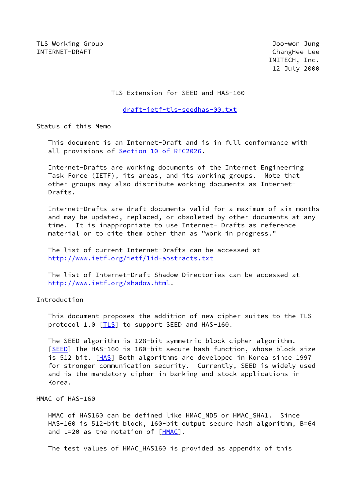TLS Working Group Joo-won Jung INTERNET-DRAFT ChangHee Lee

 INITECH, Inc. 12 July 2000

TLS Extension for SEED and HAS-160

[draft-ietf-tls-seedhas-00.txt](https://datatracker.ietf.org/doc/pdf/draft-ietf-tls-seedhas-00.txt)

Status of this Memo

 This document is an Internet-Draft and is in full conformance with all provisions of Section [10 of RFC2026.](https://datatracker.ietf.org/doc/pdf/rfc2026#section-10)

 Internet-Drafts are working documents of the Internet Engineering Task Force (IETF), its areas, and its working groups. Note that other groups may also distribute working documents as Internet- Drafts.

 Internet-Drafts are draft documents valid for a maximum of six months and may be updated, replaced, or obsoleted by other documents at any time. It is inappropriate to use Internet- Drafts as reference material or to cite them other than as "work in progress."

 The list of current Internet-Drafts can be accessed at <http://www.ietf.org/ietf/1id-abstracts.txt>

 The list of Internet-Draft Shadow Directories can be accessed at <http://www.ietf.org/shadow.html>.

Introduction

 This document proposes the addition of new cipher suites to the TLS protocol 1.0 [\[TLS](#page-1-0)] to support SEED and HAS-160.

 The SEED algorithm is 128-bit symmetric block cipher algorithm. [\[SEED](#page-1-1)] The HAS-160 is 160-bit secure hash function, whose block size is 512 bit. [\[HAS](#page-1-2)] Both algorithms are developed in Korea since 1997 for stronger communication security. Currently, SEED is widely used and is the mandatory cipher in banking and stock applications in Korea.

HMAC of HAS-160

 HMAC of HAS160 can be defined like HMAC\_MD5 or HMAC\_SHA1. Since HAS-160 is 512-bit block, 160-bit output secure hash algorithm, B=64 and  $L=20$  as the notation of  $[HMAC]$  $[HMAC]$ .

The test values of HMAC\_HAS160 is provided as appendix of this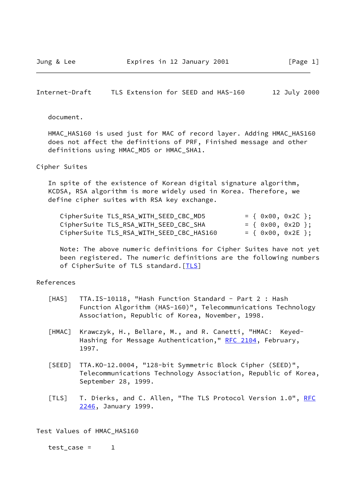## Internet-Draft TLS Extension for SEED and HAS-160 12 July 2000

document.

 HMAC\_HAS160 is used just for MAC of record layer. Adding HMAC\_HAS160 does not affect the definitions of PRF, Finished message and other definitions using HMAC\_MD5 or HMAC\_SHA1.

## Cipher Suites

 In spite of the existence of Korean digital signature algorithm, KCDSA, RSA algorithm is more widely used in Korea. Therefore, we define cipher suites with RSA key exchange.

| CipherSuite TLS_RSA_WITH_SEED_CBC_MD5    | $= \{ 0x00, 0x2C \};$ |
|------------------------------------------|-----------------------|
| CipherSuite TLS_RSA_WITH_SEED_CBC_SHA    | $=$ { 0x00, 0x2D };   |
| CipherSuite TLS_RSA_WITH_SEED_CBC_HAS160 | $=$ { 0x00, 0x2E };   |

 Note: The above numeric definitions for Cipher Suites have not yet been registered. The numeric definitions are the following numbers of CipherSuite of [TLS](#page-1-0) standard. [TLS]

## References

- <span id="page-1-3"></span><span id="page-1-2"></span>[HAS] TTA.IS-10118, "Hash Function Standard - Part 2 : Hash Function Algorithm (HAS-160)", Telecommunications Technology Association, Republic of Korea, November, 1998. [HMAC] Krawczyk, H., Bellare, M., and R. Canetti, "HMAC: Keyed- Hashing for Message Authentication," [RFC 2104](https://datatracker.ietf.org/doc/pdf/rfc2104), February, 1997. [SEED] TTA.KO-12.0004, "128-bit Symmetric Block Cipher (SEED)",
- <span id="page-1-1"></span> Telecommunications Technology Association, Republic of Korea, September 28, 1999.
- <span id="page-1-0"></span>[TLS] T. Dierks, and C. Allen, "The TLS Protocol Version 1.0", [RFC](https://datatracker.ietf.org/doc/pdf/rfc2246) [2246](https://datatracker.ietf.org/doc/pdf/rfc2246), January 1999.

Test Values of HMAC\_HAS160

 $test\_case = 1$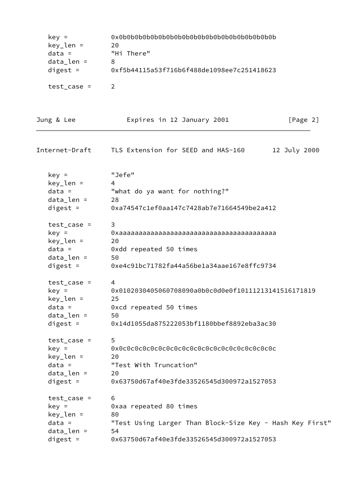| key =          |                                                          |  |  |
|----------------|----------------------------------------------------------|--|--|
| key_len =      | 20                                                       |  |  |
| $data =$       | "Hi There"                                               |  |  |
| data_len =     | 8                                                        |  |  |
| $digest =$     | 0xf5b44115a53f716b6f488de1098ee7c251418623               |  |  |
| $test\_case =$ | $\overline{2}$                                           |  |  |
| Jung & Lee     | Expires in 12 January 2001<br>[Page 2]                   |  |  |
| Internet-Draft | TLS Extension for SEED and HAS-160<br>12 July 2000       |  |  |
| $key =$        | "Jefe"                                                   |  |  |
| key_len =      | 4                                                        |  |  |
| $data =$       | "what do ya want for nothing?"                           |  |  |
| data_len =     | 28                                                       |  |  |
| $digest =$     | 0xa74547c1ef0aa147c7428ab7e71664549be2a412               |  |  |
| test_case =    | 3                                                        |  |  |
| $key =$        |                                                          |  |  |
| $key\_len =$   | 20                                                       |  |  |
| $data =$       | 0xdd repeated 50 times                                   |  |  |
| data_len =     | 50                                                       |  |  |
| $digest =$     | 0xe4c91bc71782fa44a56be1a34aae167e8ffc9734               |  |  |
| $test\_case =$ | 4                                                        |  |  |
| $key =$        | 0x0102030405060708090a0b0c0d0e0f10111213141516171819     |  |  |
| key_len =      | 25                                                       |  |  |
| $data =$       | Oxcd repeated 50 times                                   |  |  |
| data_len =     | 50                                                       |  |  |
| $digest =$     | 0x14d1055da875222053bf1180bbef8892eba3ac30               |  |  |
| $test\_case =$ | 5                                                        |  |  |
| $key =$        |                                                          |  |  |
| key_len =      | 20                                                       |  |  |
| $data =$       | "Test With Truncation"                                   |  |  |
| data_len =     | 20                                                       |  |  |
| $digest =$     | 0x63750d67af40e3fde33526545d300972a1527053               |  |  |
| $test\_case =$ | 6                                                        |  |  |
| $key =$        | Oxaa repeated 80 times                                   |  |  |
| key_len =      | 80                                                       |  |  |
| $data =$       | "Test Using Larger Than Block-Size Key - Hash Key First" |  |  |
| $data_{len}$ = | 54                                                       |  |  |
| $digest =$     | 0x63750d67af40e3fde33526545d300972a1527053               |  |  |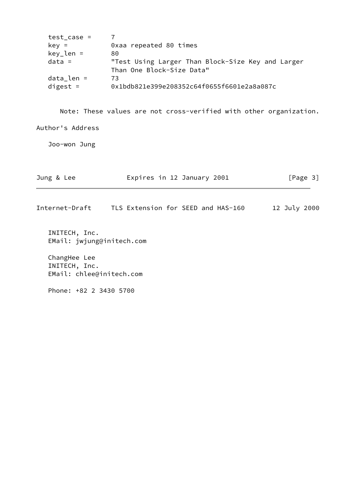| $test\_case =$ |                                                   |  |
|----------------|---------------------------------------------------|--|
| $key =$        | Oxaa repeated 80 times                            |  |
| $key\_len =$   | 80.                                               |  |
| $data =$       | "Test Using Larger Than Block-Size Key and Larger |  |
|                | Than One Block-Size Data"                         |  |
| $data_{en}$ =  | 73.                                               |  |
| digest $=$     | 0x1bdb821e399e208352c64f0655f6601e2a8a087c        |  |

Note: These values are not cross-verified with other organization.

## Author's Address

Joo-won Jung

| Jung & Lee                                 | Expires in 12 January 2001         | [Page 3]     |
|--------------------------------------------|------------------------------------|--------------|
| Internet-Draft                             | TLS Extension for SEED and HAS-160 | 12 July 2000 |
| INITECH, Inc.<br>EMail: jwjung@initech.com |                                    |              |
| ChangHee Lee<br>INITECH, Inc.              |                                    |              |

EMail: chlee@initech.com

Phone: +82 2 3430 5700